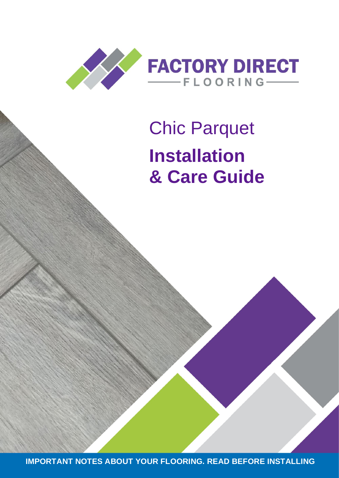

# Chic Parquet **Installation & Care Guide**

**IMPORTANT NOTES ABOUT YOUR FLOORING. READ BEFORE INSTALLING**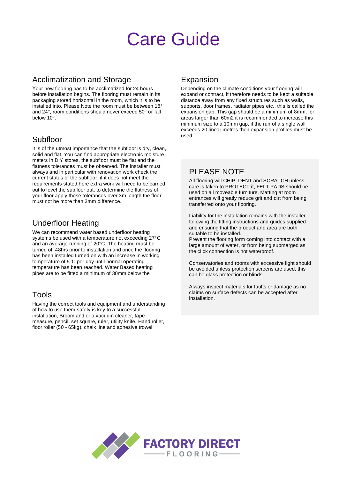# Care Guide

#### Acclimatization and Storage

Your new flooring has to be acclimatized for 24 hours before installation begins. The flooring must remain in its packaging stored horizontal in the room, which it is to be installed into. Please Note the room must be between 18° and 24°, room conditions should never exceed 50° or fall below 10°.

#### Subfloor

It is of the utmost importance that the subfloor is dry, clean, solid and flat. You can find appropriate electronic moisture meters in DIY stores, the subfloor must be flat and the flatness tolerances must be observed. The installer must always and in particular with renovation work check the current status of the subfloor, if it does not meet the requirements stated here extra work will need to be carried out to level the subfloor out, to determine the flatness of your floor apply these tolerances over 3m length the floor must not be more than 3mm difference.

#### Underfloor Heating

We can recommend water based underfloor heating systems be used with a temperature not exceeding 27°C and an average running of 20°C. The heating must be turned off 48hrs prior to installation and once the flooring has been installed turned on with an increase in working temperature of 5°C per day until normal operating temperature has been reached. Water Based heating pipes are to be fitted a minimum of 30mm below the

#### Tools

Having the correct tools and equipment and understanding of how to use them safely is key to a successful installation, Broom and or a vacuum cleaner, tape measure, pencil, set square, ruler, utility knife, Hand roller, floor roller (50 - 65kg), chalk line and adhesive trowel

#### Expansion

Depending on the climate conditions your flooring will expand or contract, it therefore needs to be kept a suitable distance away from any fixed structures such as walls, supports, door frames, radiator pipes etc., this is called the expansion gap. This gap should be a minimum of 8mm, for areas larger than 60m2 it is recommended to increase this minimum size to a 10mm gap, if the run of a single wall exceeds 20 linear metres then expansion profiles must be used.

### PI FASE NOTE

All flooring will CHIP, DENT and SCRATCH unless care is taken to PROTECT it, FELT PADS should be used on all moveable furniture. Matting at room entrances will greatly reduce grit and dirt from being transferred onto your flooring.

Liability for the installation remains with the installer following the fitting instructions and guides supplied and ensuring that the product and area are both suitable to be installed.

Prevent the flooring form coming into contact with a large amount of water, or from being submerged as the click connection is not waterproof.

Conservatories and rooms with excessive light should be avoided unless protection screens are used, this can be glass protection or blinds.

Always inspect materials for faults or damage as no claims on surface defects can be accepted after installation.

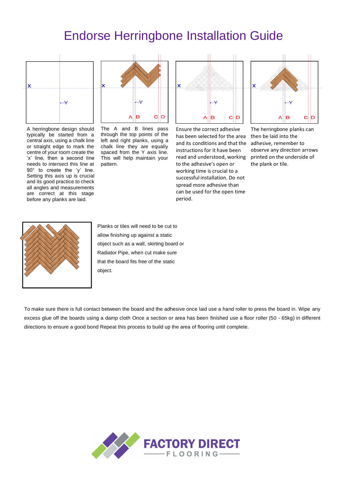# Endorse Herringbone Installation Guide



A herringbone design should typically be started from a central axis, using a chalk line or straight edge to mark the centre of your room create the 'x' line, then a second line needs to intersect this line at 90° to create the 'y' line. Setting this axis up is crucial and its good practice to check all angles and measurements are correct at this stage before any planks are laid.



The A and B lines pass through the top points of the left and right planks, using a chalk line they are equally spaced from the Y axis line. This will help maintain your pattern.



Ensure the correct adhesive has been selected for the area and its conditions and that the instructions for it have been read and understood, working printed on the underside of to the adhesive's open or working time is crucial to a successful installation. Do not spread more adhesive than can be used for the open time period.



The herringbone planks can then be laid into the adhesive, remember to observe any direction arrows the plank or tile.



Planks or tiles will need to be cut to allow finishing up against a static object such as a wall, skirting board or Radiator Pipe, when cut make sure that the board fits free of the static object.

To make sure there is full contact between the board and the adhesive once laid use a hand roller to press the board in. Wipe any excess glue off the boards using a damp cloth Once a section or area has been finished use a floor roller (50 - 65kg) in different directions to ensure a good bond Repeat this process to build up the area of flooring until complete.